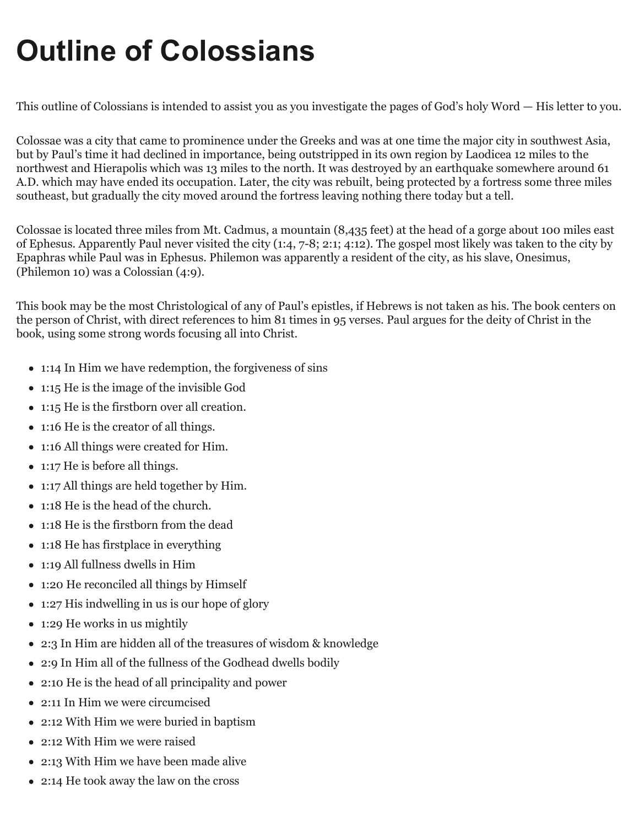# **Outline of Colossians**

This outline of Colossians is intended to assist you as you investigate the pages of God's holy Word — His letter to you.

Colossae was a city that came to prominence under the Greeks and was at one time the major city in southwest Asia, but by Paul's time it had declined in importance, being outstripped in its own region by Laodicea 12 miles to the northwest and Hierapolis which was 13 miles to the north. It was destroyed by an earthquake somewhere around 61 A.D. which may have ended its occupation. Later, the city was rebuilt, being protected by a fortress some three miles southeast, but gradually the city moved around the fortress leaving nothing there today but a tell.

Colossae is located three miles from Mt. Cadmus, a mountain (8,435 feet) at the head of a gorge about 100 miles east of Ephesus. Apparently Paul never visited the city (1:4, 7-8; 2:1; 4:12). The gospel most likely was taken to the city by Epaphras while Paul was in Ephesus. Philemon was apparently a resident of the city, as his slave, Onesimus, (Philemon 10) was a Colossian (4:9).

This book may be the most Christological of any of Paul's epistles, if Hebrews is not taken as his. The book centers on the person of Christ, with direct references to him 81 times in 95 verses. Paul argues for the deity of Christ in the book, using some strong words focusing all into Christ.

- 1:14 In Him we have redemption, the forgiveness of sins
- 1:15 He is the image of the invisible God
- 1:15 He is the firstborn over all creation.
- 1:16 He is the creator of all things.
- 1:16 All things were created for Him.
- 1:17 He is before all things.
- 1:17 All things are held together by Him.
- 1:18 He is the head of the church.
- 1:18 He is the firstborn from the dead
- 1:18 He has firstplace in everything
- 1:19 All fullness dwells in Him
- 1:20 He reconciled all things by Himself
- 1:27 His indwelling in us is our hope of glory
- 1:29 He works in us mightily
- 2:3 In Him are hidden all of the treasures of wisdom & knowledge
- 2:9 In Him all of the fullness of the Godhead dwells bodily
- 2:10 He is the head of all principality and power
- 2:11 In Him we were circumcised
- 2:12 With Him we were buried in baptism
- 2:12 With Him we were raised
- 2:13 With Him we have been made alive
- 2:14 He took away the law on the cross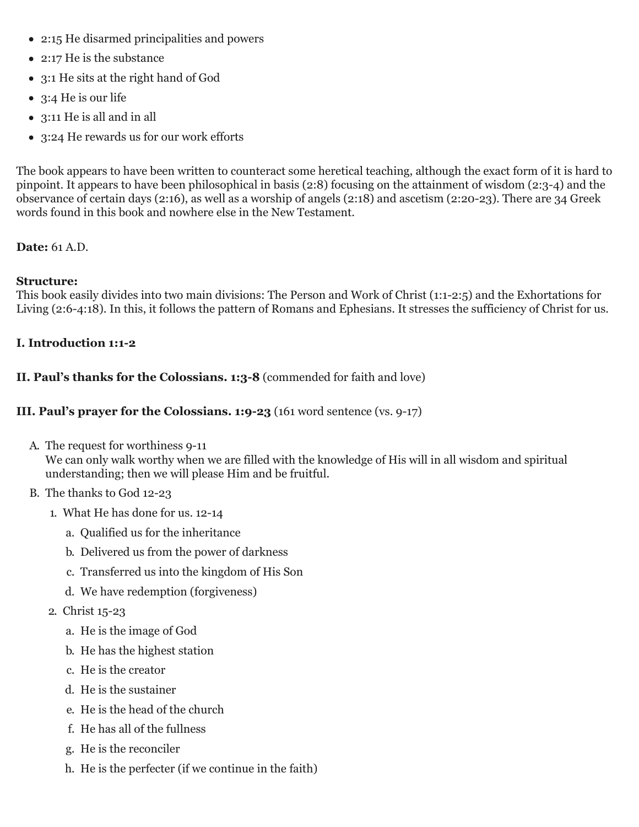- 2:15 He disarmed principalities and powers
- 2:17 He is the substance
- 3:1 He sits at the right hand of God
- 3:4 He is our life
- 3:11 He is all and in all
- 3:24 He rewards us for our work efforts

The book appears to have been written to counteract some heretical teaching, although the exact form of it is hard to pinpoint. It appears to have been philosophical in basis (2:8) focusing on the attainment of wisdom (2:3-4) and the observance of certain days (2:16), as well as a worship of angels (2:18) and ascetism (2:20-23). There are 34 Greek words found in this book and nowhere else in the New Testament.

# **Date:** 61 A.D.

# **Structure:**

This book easily divides into two main divisions: The Person and Work of Christ (1:1-2:5) and the Exhortations for Living (2:6-4:18). In this, it follows the pattern of Romans and Ephesians. It stresses the sufficiency of Christ for us.

# **I. Introduction 1:1-2**

# **II. Paul's thanks for the Colossians. 1:3-8** (commended for faith and love)

## **III. Paul's prayer for the Colossians. 1:9-23** (161 word sentence (vs. 9-17)

A. The request for worthiness 9-11

We can only walk worthy when we are filled with the knowledge of His will in all wisdom and spiritual understanding; then we will please Him and be fruitful.

- B. The thanks to God 12-23
	- 1. What He has done for us. 12-14
		- a. Qualified us for the inheritance
		- b. Delivered us from the power of darkness
		- c. Transferred us into the kingdom of His Son
		- d. We have redemption (forgiveness)
	- 2. Christ 15-23
		- a. He is the image of God
		- b. He has the highest station
		- c. He is the creator
		- d. He is the sustainer
		- e. He is the head of the church
		- f. He has all of the fullness
		- g. He is the reconciler
		- h. He is the perfecter (if we continue in the faith)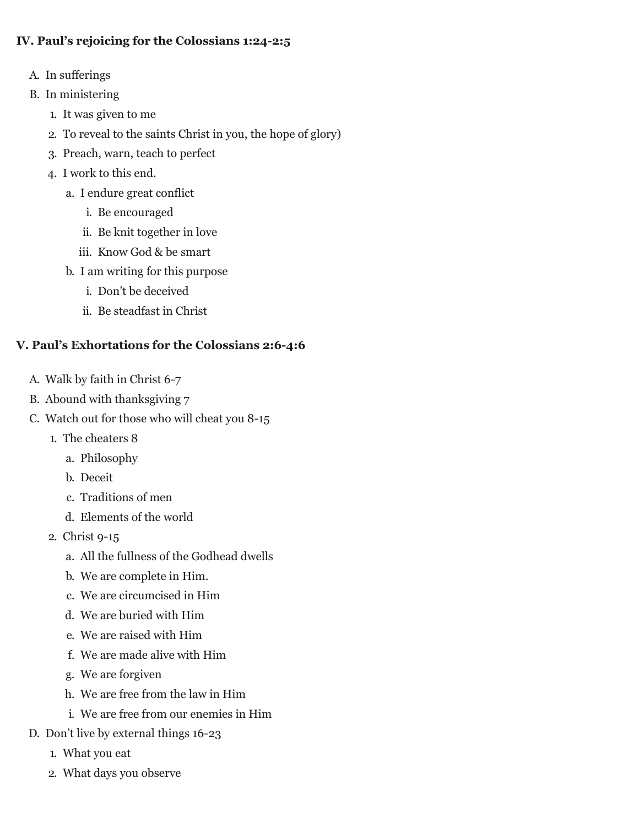### **IV. Paul's rejoicing for the Colossians 1:24-2:5**

- A. In sufferings
- B. In ministering
	- 1. It was given to me
	- 2. To reveal to the saints Christ in you, the hope of glory)
	- 3. Preach, warn, teach to perfect
	- 4. I work to this end.
		- a. I endure great conflict
			- i. Be encouraged
			- ii. Be knit together in love
			- iii. Know God & be smart
		- b. I am writing for this purpose
			- i. Don't be deceived
			- ii. Be steadfast in Christ

#### **V. Paul's Exhortations for the Colossians 2:6-4:6**

- A. Walk by faith in Christ 6-7
- B. Abound with thanksgiving 7
- C. Watch out for those who will cheat you 8-15
	- 1. The cheaters 8
		- a. Philosophy
		- b. Deceit
		- c. Traditions of men
		- d. Elements of the world
	- 2. Christ 9-15
		- a. All the fullness of the Godhead dwells
		- b. We are complete in Him.
		- c. We are circumcised in Him
		- d. We are buried with Him
		- e. We are raised with Him
		- f. We are made alive with Him
		- g. We are forgiven
		- h. We are free from the law in Him
		- i. We are free from our enemies in Him
- D. Don't live by external things 16-23
	- 1. What you eat
	- 2. What days you observe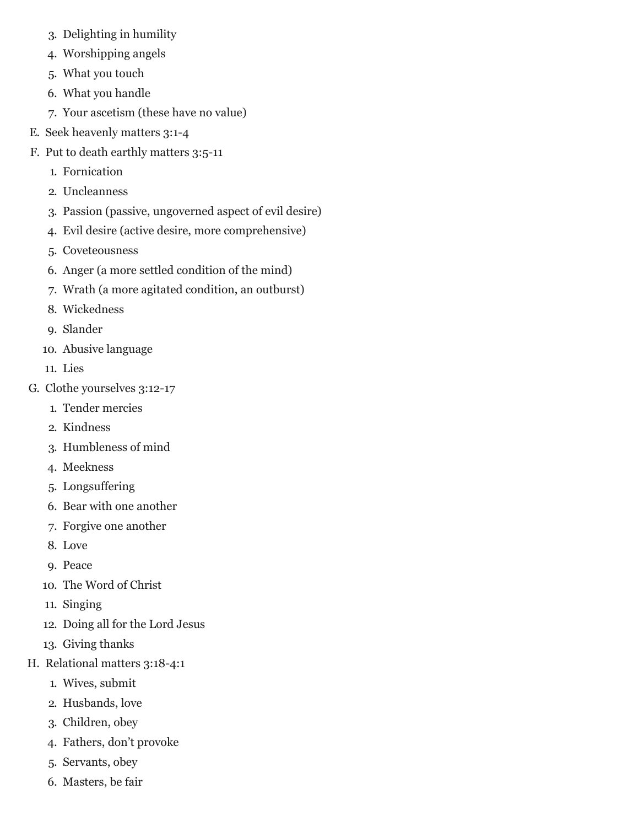- 3. Delighting in humility
- 4. Worshipping angels
- 5. What you touch
- 6. What you handle
- 7. Your ascetism (these have no value)
- E. Seek heavenly matters 3:1-4
- F. Put to death earthly matters 3:5-11
	- 1. Fornication
	- 2. Uncleanness
	- 3. Passion (passive, ungoverned aspect of evil desire)
	- 4. Evil desire (active desire, more comprehensive)
	- 5. Coveteousness
	- 6. Anger (a more settled condition of the mind)
	- 7. Wrath (a more agitated condition, an outburst)
	- 8. Wickedness
	- 9. Slander
	- 10. Abusive language
	- 11. Lies
- G. Clothe yourselves 3:12-17
	- 1. Tender mercies
	- 2. Kindness
	- 3. Humbleness of mind
	- 4. Meekness
	- 5. Longsuffering
	- 6. Bear with one another
	- 7. Forgive one another
	- 8. Love
	- 9. Peace
	- 10. The Word of Christ
	- 11. Singing
	- 12. Doing all for the Lord Jesus
	- 13. Giving thanks
- H. Relational matters 3:18-4:1
	- 1. Wives, submit
	- 2. Husbands, love
	- 3. Children, obey
	- 4. Fathers, don't provoke
	- 5. Servants, obey
	- 6. Masters, be fair